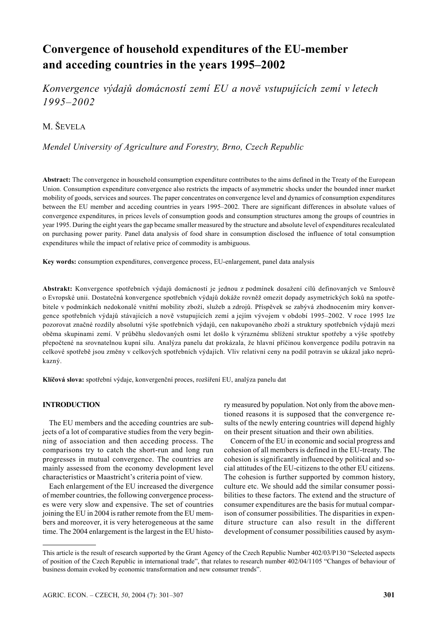# **Convergence of household expenditures of the EU-member and acceding countries in the years 1995–2002**

*Konvergence výdajů domácností zemí EU a nově vstupujících zemí v letech 1995–2002*

M. ŠEVELA

*Mendel University of Agriculture and Forestry, Brno, Czech Republic*

**Abstract:** The convergence in household consumption expenditure contributes to the aims defined in the Treaty of the European Union. Consumption expenditure convergence also restricts the impacts of asymmetric shocks under the bounded inner market mobility of goods, services and sources. The paper concentrates on convergence level and dynamics of consumption expenditures between the EU member and acceding countries in years 1995–2002. There are significant differences in absolute values of convergence expenditures, in prices levels of consumption goods and consumption structures among the groups of countries in year 1995. During the eight years the gap became smaller measured by the structure and absolute level of expenditures recalculated on purchasing power parity. Panel data analysis of food share in consumption disclosed the influence of total consumption expenditures while the impact of relative price of commodity is ambiguous.

**Key words:** consumption expenditures, convergence process, EU-enlargement, panel data analysis

**Abstrakt:** Konvergence spotřebních výdajů domácností je jednou z podmínek dosažení cílů definovaných ve Smlouvě o Evropské unii. Dostatečná konvergence spotřebních výdajů dokáže rovněž omezit dopady asymetrických šoků na spotřebitele v podmínkách nedokonalé vnitřní mobility zboží, služeb a zdrojů. Příspěvek se zabývá zhodnocením míry konvergence spotřebních výdajů stávajících a nově vstupujících zemí a jejím vývojem v období 1995–2002. V roce 1995 lze pozorovat značné rozdíly absolutní výše spotřebních výdajů, cen nakupovaného zboží a struktury spotřebních výdajů mezi oběma skupinami zemí. V průběhu sledovaných osmi let došlo k výraznému sblížení struktur spotřeby a výše spotřeby přepočtené na srovnatelnou kupní sílu. Analýza panelu dat prokázala, že hlavní příčinou konvergence podílu potravin na celkové spotřebě jsou změny v celkových spotřebních výdajích. Vliv relativní ceny na podíl potravin se ukázal jako neprůkazný.

**Klíčová slova:** spotřební výdaje, konvergenční proces, rozšíření EU, analýza panelu dat

## **INTRODUCTION**

The EU members and the acceding countries are subjects of a lot of comparative studies from the very beginning of association and then acceding process. The comparisons try to catch the short-run and long run progresses in mutual convergence. The countries are mainly assessed from the economy development level characteristics or Maastricht's criteria point of view.

Each enlargement of the EU increased the divergence of member countries, the following convergence processes were very slow and expensive. The set of countries joining the EU in 2004 is rather remote from the EU members and moreover, it is very heterogeneous at the same time. The 2004 enlargement is the largest in the EU history measured by population. Not only from the above mentioned reasons it is supposed that the convergence results of the newly entering countries will depend highly on their present situation and their own abilities.

Concern of the EU in economic and social progress and cohesion of all members is defined in the EU-treaty. The cohesion is significantly influenced by political and social attitudes of the EU-citizens to the other EU citizens. The cohesion is further supported by common history, culture etc. We should add the similar consumer possibilities to these factors. The extend and the structure of consumer expenditures are the basis for mutual comparison of consumer possibilities. The disparities in expenditure structure can also result in the different development of consumer possibilities caused by asym-

This article is the result of research supported by the Grant Agency of the Czech Republic Number 402/03/P130 "Selected aspects of position of the Czech Republic in international trade", that relates to research number 402/04/1105 "Changes of behaviour of business domain evoked by economic transformation and new consumer trends".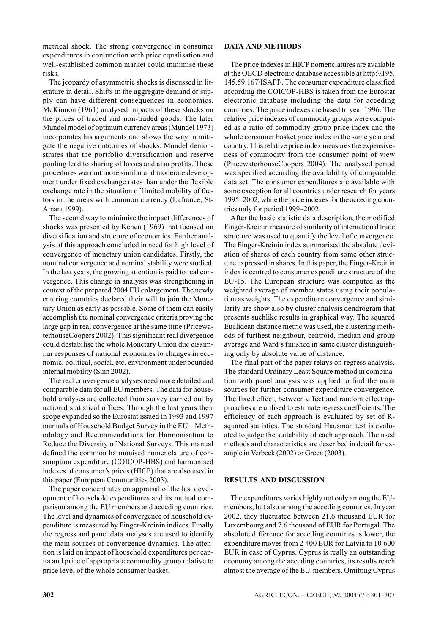metrical shock. The strong convergence in consumer expenditures in conjunction with price equalisation and well-established common market could minimise these risks.

The jeopardy of asymmetric shocks is discussed in literature in detail. Shifts in the aggregate demand or supply can have different consequences in economics. McKinnon (1961) analysed impacts of these shocks on the prices of traded and non-traded goods. The later Mundel model of optimum currency areas (Mundel 1973) incorporates his arguments and shows the way to mitigate the negative outcomes of shocks. Mundel demonstrates that the portfolio diversification and reserve pooling lead to sharing of losses and also profits. These procedures warrant more similar and moderate development under fixed exchange rates than under the flexible exchange rate in the situation of limited mobility of factors in the areas with common currency (Lafrance, St-Amant 1999).

The second way to minimise the impact differences of shocks was presented by Kenen (1969) that focused on diversification and structure of economies. Further analysis of this approach concluded in need for high level of convergence of monetary union candidates. Firstly, the nominal convergence and nominal stability were studied. In the last years, the growing attention is paid to real convergence. This change in analysis was strengthening in context of the prepared 2004 EU enlargement. The newly entering countries declared their will to join the Monetary Union as early as possible. Some of them can easily accomplish the nominal convergence criteria proving the large gap in real convergence at the same time (PricewaterhouseCoopers 2002). This significant real divergence could destabilise the whole Monetary Union due dissimilar responses of national economies to changes in economic, political, social, etc. environment under bounded internal mobility (Sinn 2002).

The real convergence analyses need more detailed and comparable data for all EU members. The data for household analyses are collected from survey carried out by national statistical offices. Through the last years their scope expanded so the Eurostat issued in 1993 and 1997 manuals of Household Budget Survey in the EU – Methodology and Recommendations for Harmonisation to Reduce the Diversity of National Surveys. This manual defined the common harmonised nomenclature of consumption expenditure (COICOP-HBS) and harmonised indexes of consumer's prices (HICP) that are also used in this paper (European Communities 2003).

The paper concentrates on appraisal of the last development of household expenditures and its mutual comparison among the EU members and acceding countries. The level and dynamics of convergence of household expenditure is measured by Finger-Kreinin indices. Finally the regress and panel data analyses are used to identify the main sources of convergence dynamics. The attention is laid on impact of household expenditures per capita and price of appropriate commodity group relative to price level of the whole consumer basket.

## **DATA AND METHODS**

The price indexes in HICP nomenclatures are available at the OECD electronic database accessible at http:\\195. 145.59.167\ISAPI\. The consumer expenditure classified according the COICOP-HBS is taken from the Eurostat electronic database including the data for acceding countries. The price indexes are based to year 1996. The relative price indexes of commodity groups were computed as a ratio of commodity group price index and the whole consumer basket price index in the same year and country. This relative price index measures the expensiveness of commodity from the consumer point of view (PricewaterhouseCoopers 2004). The analysed period was specified according the availability of comparable data set. The consumer expenditures are available with some exception for all countries under research for years 1995–2002, while the price indexes for the acceding countries only for period 1999–2002.

After the basic statistic data description, the modified Finger-Kreinin measure of similarity of international trade structure was used to quantify the level of convergence. The Finger-Kreinin index summarised the absolute deviation of shares of each country from some other structure expressed in shares. In this paper, the Finger-Kreinin index is centred to consumer expenditure structure of the EU-15. The European structure was computed as the weighted average of member states using their population as weights. The expenditure convergence and similarity are show also by cluster analysis dendrogram that presents suchlike results in graphical way. The squared Euclidean distance metric was used, the clustering methods of furthest neighbour, centroid, median and group average and Ward's finished in same cluster distinguishing only by absolute value of distance.

The final part of the paper relays on regress analysis. The standard Ordinary Least Square method in combination with panel analysis was applied to find the main sources for further consumer expenditure convergence. The fixed effect, between effect and random effect approaches are utilised to estimate regress coefficients. The efficiency of each approach is evaluated by set of Rsquared statistics. The standard Hausman test is evaluated to judge the suitability of each approach. The used methods and characteristics are described in detail for example in Verbeek (2002) or Green (2003).

#### **RESULTS AND DISCUSSION**

The expenditures varies highly not only among the EUmembers, but also among the acceding countries. In year 2002, they fluctuated between 21.6 thousand EUR for Luxembourg and 7.6 thousand of EUR for Portugal. The absolute difference for acceding countries is lower, the expenditure moves from 2 400 EUR for Latvia to 10 600 EUR in case of Cyprus. Cyprus is really an outstanding economy among the acceding countries, its results reach almost the average of the EU-members. Omitting Cyprus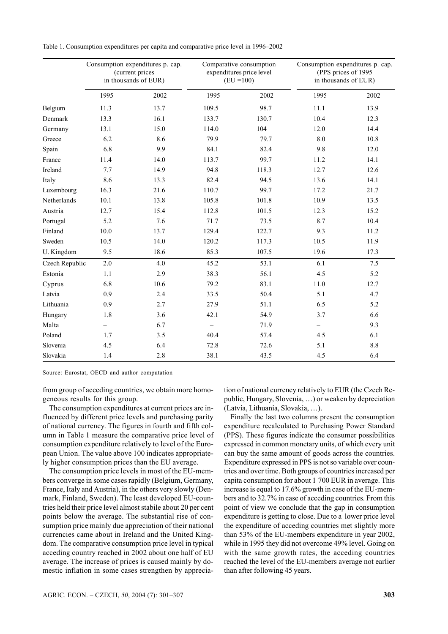Table 1. Consumption expenditures per capita and comparative price level in 1996–2002

|                | Consumption expenditures p. cap.<br>(current prices<br>in thousands of EUR) |      |                   | Comparative consumption<br>expenditures price level<br>$(EU = 100)$ | Consumption expenditures p. cap.<br>(PPS prices of 1995)<br>in thousands of EUR) |      |  |
|----------------|-----------------------------------------------------------------------------|------|-------------------|---------------------------------------------------------------------|----------------------------------------------------------------------------------|------|--|
|                | 1995                                                                        | 2002 | 1995              | 2002                                                                | 1995                                                                             | 2002 |  |
| Belgium        | 11.3                                                                        | 13.7 | 109.5             | 98.7                                                                | 11.1                                                                             | 13.9 |  |
| Denmark        | 13.3                                                                        | 16.1 | 133.7             | 130.7                                                               | 10.4                                                                             | 12.3 |  |
| Germany        | 13.1                                                                        | 15.0 | 114.0             | 104                                                                 | 12.0                                                                             | 14.4 |  |
| Greece         | 6.2                                                                         | 8.6  | 79.9              | 79.7                                                                | 8.0                                                                              | 10.8 |  |
| Spain          | 6.8                                                                         | 9.9  | 84.1              | 82.4                                                                | 9.8                                                                              | 12.0 |  |
| France         | 11.4                                                                        | 14.0 | 113.7             | 99.7                                                                | 11.2                                                                             | 14.1 |  |
| Ireland        | 7.7                                                                         | 14.9 | 94.8              | 118.3                                                               | 12.7                                                                             | 12.6 |  |
| Italy          | 8.6                                                                         | 13.3 | 82.4              | 94.5                                                                | 13.6                                                                             | 14.1 |  |
| Luxembourg     | 16.3                                                                        | 21.6 | 110.7             | 99.7                                                                | 17.2                                                                             | 21.7 |  |
| Netherlands    | 10.1                                                                        | 13.8 | 105.8             | 101.8                                                               | 10.9                                                                             | 13.5 |  |
| Austria        | 12.7                                                                        | 15.4 | 112.8             | 101.5                                                               | 12.3                                                                             | 15.2 |  |
| Portugal       | 5.2                                                                         | 7.6  | 71.7              | 73.5                                                                | 8.7                                                                              | 10.4 |  |
| Finland        | 10.0                                                                        | 13.7 | 129.4             | 122.7                                                               | 9.3                                                                              | 11.2 |  |
| Sweden         | 10.5                                                                        | 14.0 | 120.2             | 117.3                                                               | 10.5                                                                             | 11.9 |  |
| U. Kingdom     | 9.5                                                                         | 18.6 | 85.3              | 107.5                                                               | 19.6                                                                             | 17.3 |  |
| Czech Republic | 2.0                                                                         | 4.0  | 45.2              | 53.1                                                                | 6.1                                                                              | 7.5  |  |
| Estonia        | 1.1                                                                         | 2.9  | 38.3              | 56.1                                                                | 4.5                                                                              | 5.2  |  |
| Cyprus         | 6.8                                                                         | 10.6 | 79.2              | 83.1                                                                | 11.0                                                                             | 12.7 |  |
| Latvia         | 0.9                                                                         | 2.4  | 33.5              | 50.4                                                                | 5.1                                                                              | 4.7  |  |
| Lithuania      | 0.9                                                                         | 2.7  | 27.9              | 51.1                                                                | 6.5                                                                              | 5.2  |  |
| Hungary        | 1.8                                                                         | 3.6  | 42.1              | 54.9                                                                | 3.7                                                                              | 6.6  |  |
| Malta          | $\overline{\phantom{0}}$                                                    | 6.7  | $\qquad \qquad -$ | 71.9                                                                | $\overline{\phantom{0}}$                                                         | 9.3  |  |
| Poland         | 1.7                                                                         | 3.5  | 40.4              | 57.4                                                                | 4.5                                                                              | 6.1  |  |
| Slovenia       | 4.5                                                                         | 6.4  | 72.8              | 72.6                                                                | 5.1                                                                              | 8.8  |  |
| Slovakia       | 1.4                                                                         | 2.8  | 38.1              | 43.5                                                                | 4.5                                                                              | 6.4  |  |

Source: Eurostat, OECD and author computation

from group of acceding countries, we obtain more homogeneous results for this group.

The consumption expenditures at current prices are influenced by different price levels and purchasing parity of national currency. The figures in fourth and fifth column in Table 1 measure the comparative price level of consumption expenditure relatively to level of the European Union. The value above 100 indicates appropriately higher consumption prices than the EU average.

The consumption price levels in most of the EU-members converge in some cases rapidly (Belgium, Germany, France, Italy and Austria), in the others very slowly (Denmark, Finland, Sweden). The least developed EU-countries held their price level almost stabile about 20 per cent points below the average. The substantial rise of consumption price mainly due appreciation of their national currencies came about in Ireland and the United Kingdom. The comparative consumption price level in typical acceding country reached in 2002 about one half of EU average. The increase of prices is caused mainly by domestic inflation in some cases strengthen by appreciation of national currency relatively to EUR (the Czech Republic, Hungary, Slovenia, …) or weaken by depreciation (Latvia, Lithuania, Slovakia, …).

Finally the last two columns present the consumption expenditure recalculated to Purchasing Power Standard (PPS). These figures indicate the consumer possibilities expressed in common monetary units, of which every unit can buy the same amount of goods across the countries. Expenditure expressed in PPS is not so variable over countries and over time. Both groups of countries increased per capita consumption for about 1 700 EUR in average. This increase is equal to 17.6% growth in case of the EU-members and to 32.7% in case of acceding countries. From this point of view we conclude that the gap in consumption expenditure is getting to close. Due to a lower price level the expenditure of acceding countries met slightly more than 53% of the EU-members expenditure in year 2002, while in 1995 they did not overcome 49% level. Going on with the same growth rates, the acceding countries reached the level of the EU-members average not earlier than after following 45 years.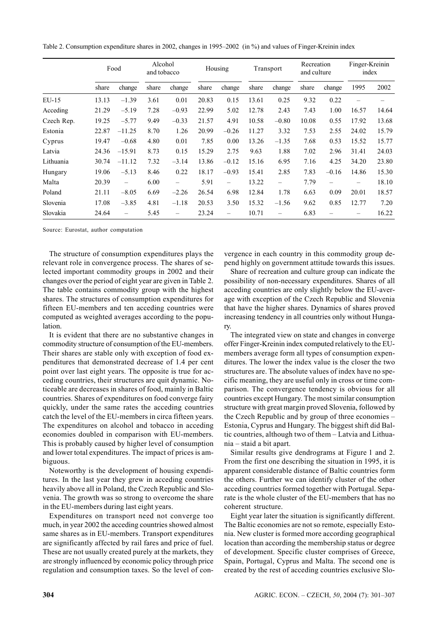Table 2. Consumption expenditure shares in 2002, changes in 1995–2002 (in %) and values of Finger-Kreinin index

|            | Food  |                          | Alcohol<br>and tobacco |                   | Housing |                          | Transport |         | Recreation<br>and culture |                          | Finger-Kreinin<br>index |       |
|------------|-------|--------------------------|------------------------|-------------------|---------|--------------------------|-----------|---------|---------------------------|--------------------------|-------------------------|-------|
|            | share | change                   | share                  | change            | share   | change                   | share     | change  | share                     | change                   | 1995                    | 2002  |
| $EU-15$    | 13.13 | $-1.39$                  | 3.61                   | 0.01              | 20.83   | 0.15                     | 13.61     | 0.25    | 9.32                      | 0.22                     |                         |       |
| Acceding   | 21.29 | $-5.19$                  | 7.28                   | $-0.93$           | 22.99   | 5.02                     | 12.78     | 2.43    | 7.43                      | 1.00                     | 16.57                   | 14.64 |
| Czech Rep. | 19.25 | $-5.77$                  | 9.49                   | $-0.33$           | 21.57   | 4.91                     | 10.58     | $-0.80$ | 10.08                     | 0.55                     | 17.92                   | 13.68 |
| Estonia    | 22.87 | $-11.25$                 | 8.70                   | 1.26              | 20.99   | $-0.26$                  | 11.27     | 3.32    | 7.53                      | 2.55                     | 24.02                   | 15.79 |
| Cyprus     | 19.47 | $-0.68$                  | 4.80                   | 0.01              | 7.85    | 0.00                     | 13.26     | $-1.35$ | 7.68                      | 0.53                     | 15.52                   | 15.77 |
| Latvia     | 24.36 | $-15.91$                 | 8.73                   | 0.15              | 15.29   | 2.75                     | 9.63      | 1.88    | 7.02                      | 2.96                     | 31.41                   | 24.03 |
| Lithuania  | 30.74 | $-11.12$                 | 7.32                   | $-3.14$           | 13.86   | $-0.12$                  | 15.16     | 6.95    | 7.16                      | 4.25                     | 34.20                   | 23.80 |
| Hungary    | 19.06 | $-5.13$                  | 8.46                   | 0.22              | 18.17   | $-0.93$                  | 15.41     | 2.85    | 7.83                      | $-0.16$                  | 14.86                   | 15.30 |
| Malta      | 20.39 | $\overline{\phantom{0}}$ | 6.00                   | $\qquad \qquad -$ | 5.91    | $\overline{\phantom{0}}$ | 13.22     |         | 7.79                      | $\overline{\phantom{0}}$ | -                       | 18.10 |
| Poland     | 21.11 | $-8.05$                  | 6.69                   | $-2.26$           | 26.54   | 6.98                     | 12.84     | 1.78    | 6.63                      | 0.09                     | 20.01                   | 18.57 |
| Slovenia   | 17.08 | $-3.85$                  | 4.81                   | $-1.18$           | 20.53   | 3.50                     | 15.32     | $-1.56$ | 9.62                      | 0.85                     | 12.77                   | 7.20  |
| Slovakia   | 24.64 | —                        | 5.45                   | -                 | 23.24   | $\overline{\phantom{0}}$ | 10.71     |         | 6.83                      |                          |                         | 16.22 |

Source: Eurostat, author computation

The structure of consumption expenditures plays the relevant role in convergence process. The shares of selected important commodity groups in 2002 and their changes over the period of eight year are given in Table 2. The table contains commodity group with the highest shares. The structures of consumption expenditures for fifteen EU-members and ten acceding countries were computed as weighted averages according to the population.

It is evident that there are no substantive changes in commodity structure of consumption of the EU-members. Their shares are stable only with exception of food expenditures that demonstrated decrease of 1.4 per cent point over last eight years. The opposite is true for acceding countries, their structures are quit dynamic. Noticeable are decreases in shares of food, mainly in Baltic countries. Shares of expenditures on food converge fairy quickly, under the same rates the acceding countries catch the level of the EU-members in circa fifteen years. The expenditures on alcohol and tobacco in acceding economies doubled in comparison with EU-members. This is probably caused by higher level of consumption and lower total expenditures. The impact of prices is ambiguous.

Noteworthy is the development of housing expenditures. In the last year they grew in acceding countries heavily above all in Poland, the Czech Republic and Slovenia. The growth was so strong to overcome the share in the EU-members during last eight years.

Expenditures on transport need not converge too much, in year 2002 the acceding countries showed almost same shares as in EU-members. Transport expenditures are significantly affected by rail fares and price of fuel. These are not usually created purely at the markets, they are strongly influenced by economic policy through price regulation and consumption taxes. So the level of convergence in each country in this commodity group depend highly on government attitude towards this issues.

Share of recreation and culture group can indicate the possibility of non-necessary expenditures. Shares of all acceding countries are only slightly below the EU-average with exception of the Czech Republic and Slovenia that have the higher shares. Dynamics of shares proved increasing tendency in all countries only without Hungary.

The integrated view on state and changes in converge offer Finger-Kreinin index computed relatively to the EUmembers average form all types of consumption expenditures. The lower the index value is the closer the two structures are. The absolute values of index have no specific meaning, they are useful only in cross or time comparison. The convergence tendency is obvious for all countries except Hungary. The most similar consumption structure with great margin proved Slovenia, followed by the Czech Republic and by group of three economies – Estonia, Cyprus and Hungary. The biggest shift did Baltic countries, although two of them – Latvia and Lithuania – staid a bit apart.

Similar results give dendrograms at Figure 1 and 2. From the first one describing the situation in 1995, it is apparent considerable distance of Baltic countries form the others. Further we can identify cluster of the other acceding countries formed together with Portugal. Separate is the whole cluster of the EU-members that has no coherent structure.

Eight year later the situation is significantly different. The Baltic economies are not so remote, especially Estonia. New cluster is formed more according geographical location than according the membership status or degree of development. Specific cluster comprises of Greece, Spain, Portugal, Cyprus and Malta. The second one is created by the rest of acceding countries exclusive Slo-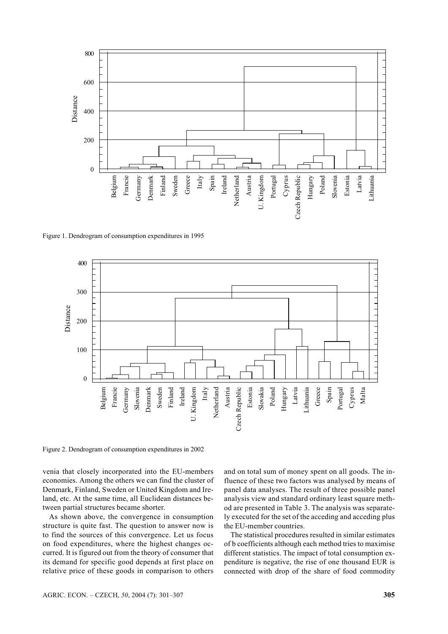

Figure 1. Dendrogram of consumption expenditures in 1995



Figure 2. Dendrogram of consumption expenditures in 2002

venia that closely incorporated into the EU-members economies. Among the others we can find the cluster of Denmark, Finland, Sweden or United Kingdom and Ireland, etc. At the same time, all Euclidean distances between partial structures became shorter.

As shown above, the convergence in consumption structure is quite fast. The question to answer now is to find the sources of this convergence. Let us focus on food expenditures, where the highest changes occurred. It is figured out from the theory of consumer that its demand for specific good depends at first place on relative price of these goods in comparison to others

and on total sum of money spent on all goods. The influence of these two factors was analysed by means of panel data analyses. The result of three possible panel analysis view and standard ordinary least square method are presented in Table 3. The analysis was separately executed for the set of the acceding and acceding plus the EU-member countries.

The statistical procedures resulted in similar estimates of b coefficients although each method tries to maximise different statistics. The impact of total consumption expenditure is negative, the rise of one thousand EUR is connected with drop of the share of food commodity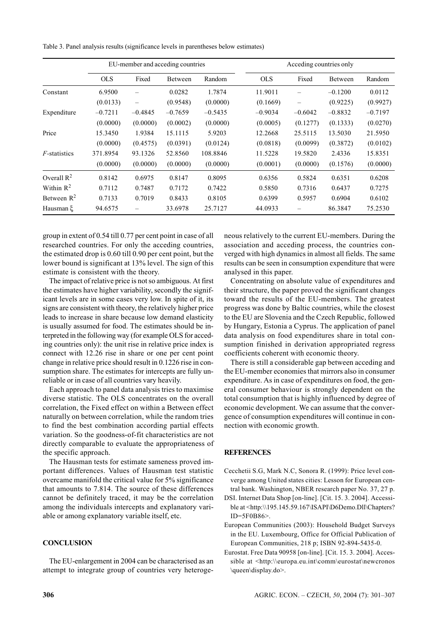Table 3. Panel analysis results (significance levels in parentheses below estimates)

|                       | EU-member and acceding countries |           |                |           |  | Acceding countries only |                          |                |           |  |
|-----------------------|----------------------------------|-----------|----------------|-----------|--|-------------------------|--------------------------|----------------|-----------|--|
|                       | <b>OLS</b>                       | Fixed     | <b>Between</b> | Random    |  | <b>OLS</b>              | Fixed                    | <b>Between</b> | Random    |  |
| Constant              | 6.9500                           |           | 0.0282         | 1.7874    |  | 11.9011                 |                          | $-0.1200$      | 0.0112    |  |
|                       | (0.0133)                         |           | (0.9548)       | (0.0000)  |  | (0.1669)                | $\overline{\phantom{0}}$ | (0.9225)       | (0.9927)  |  |
| Expenditure           | $-0.7211$                        | $-0.4845$ | $-0.7659$      | $-0.5435$ |  | $-0.9034$               | $-0.6042$                | $-0.8832$      | $-0.7197$ |  |
|                       | (0.0000)                         | (0.0000)  | (0.0002)       | (0.0000)  |  | (0.0005)                | (0.1277)                 | (0.1333)       | (0.0270)  |  |
| Price                 | 15.3450                          | 1.9384    | 15.1115        | 5.9203    |  | 12.2668                 | 25.5115                  | 13.5030        | 21.5950   |  |
|                       | (0.0000)                         | (0.4575)  | (0.0391)       | (0.0124)  |  | (0.0818)                | (0.0099)                 | (0.3872)       | (0.0102)  |  |
| <i>F</i> -statistics  | 371.8954                         | 93.1326   | 52.8560        | 108.8846  |  | 11.5228                 | 19.5820                  | 2.4336         | 15.8351   |  |
|                       | (0.0000)                         | (0.0000)  | (0.0000)       | (0.0000)  |  | (0.0001)                | (0.0000)                 | (0.1576)       | (0.0000)  |  |
| Overall $R^2$         | 0.8142                           | 0.6975    | 0.8147         | 0.8095    |  | 0.6356                  | 0.5824                   | 0.6351         | 0.6208    |  |
| Within $\mathbb{R}^2$ | 0.7112                           | 0.7487    | 0.7172         | 0.7422    |  | 0.5850                  | 0.7316                   | 0.6437         | 0.7275    |  |
| Between $R^2$         | 0.7133                           | 0.7019    | 0.8433         | 0.8105    |  | 0.6399                  | 0.5957                   | 0.6904         | 0.6102    |  |
| Hausman E             | 94.6575                          |           | 33.6978        | 25.7127   |  | 44.0933                 |                          | 86.3847        | 75.2530   |  |

group in extent of 0.54 till 0.77 per cent point in case of all researched countries. For only the acceding countries, the estimated drop is 0.60 till 0.90 per cent point, but the lower bound is significant at 13% level. The sign of this estimate is consistent with the theory.

The impact of relative price is not so ambiguous. At first the estimates have higher variability, secondly the significant levels are in some cases very low. In spite of it, its signs are consistent with theory, the relatively higher price leads to increase in share because low demand elasticity is usually assumed for food. The estimates should be interpreted in the following way (for example OLS for acceding countries only): the unit rise in relative price index is connect with 12.26 rise in share or one per cent point change in relative price should result in 0.1226 rise in consumption share. The estimates for intercepts are fully unreliable or in case of all countries vary heavily.

Each approach to panel data analysis tries to maximise diverse statistic. The OLS concentrates on the overall correlation, the Fixed effect on within a Between effect naturally on between correlation, while the random tries to find the best combination according partial effects variation. So the goodness-of-fit characteristics are not directly comparable to evaluate the appropriateness of the specific approach.

The Hausman tests for estimate sameness proved important differences. Values of Hausman test statistic overcame manifold the critical value for 5% significance that amounts to 7.814. The source of these differences cannot be definitely traced, it may be the correlation among the individuals intercepts and explanatory variable or among explanatory variable itself, etc.

## **CONCLUSION**

The EU-enlargement in 2004 can be characterised as an attempt to integrate group of countries very heterogeneous relatively to the current EU-members. During the association and acceding process, the countries converged with high dynamics in almost all fields. The same results can be seen in consumption expenditure that were analysed in this paper.

Concentrating on absolute value of expenditures and their structure, the paper proved the significant changes toward the results of the EU-members. The greatest progress was done by Baltic countries, while the closest to the EU are Slovenia and the Czech Republic, followed by Hungary, Estonia a Cyprus. The application of panel data analysis on food expenditures share in total consumption finished in derivation appropriated regress coefficients coherent with economic theory.

There is still a considerable gap between acceding and the EU-member economies that mirrors also in consumer expenditure. As in case of expenditures on food, the general consumer behaviour is strongly dependent on the total consumption that is highly influenced by degree of economic development. We can assume that the convergence of consumption expenditures will continue in connection with economic growth.

### **REFERENCES**

- Cecchetii S.G, Mark N.C, Sonora R. (1999): Price level converge among United states cities: Lesson for European central bank. Washington, NBER research paper No. 37, 27 p.
- DSI. Internet Data Shop [on-line]. [Cit. 15. 3. 2004]. Accessible at <http:\\195.145.59.167\ISAPI\D6Demo.Dll\Chapters?  $ID = 5F0B86$
- European Communities (2003): Household Budget Surveys in the EU. Luxembourg, Office for Official Publication of European Communities, 218 p; ISBN 92-894-5435-0.
- Eurostat. Free Data 90958 [on-line]. [Cit. 15. 3. 2004]. Accessible at <http:\\europa.eu.int\comm\eurostat\newcronos \queen\display.do>.